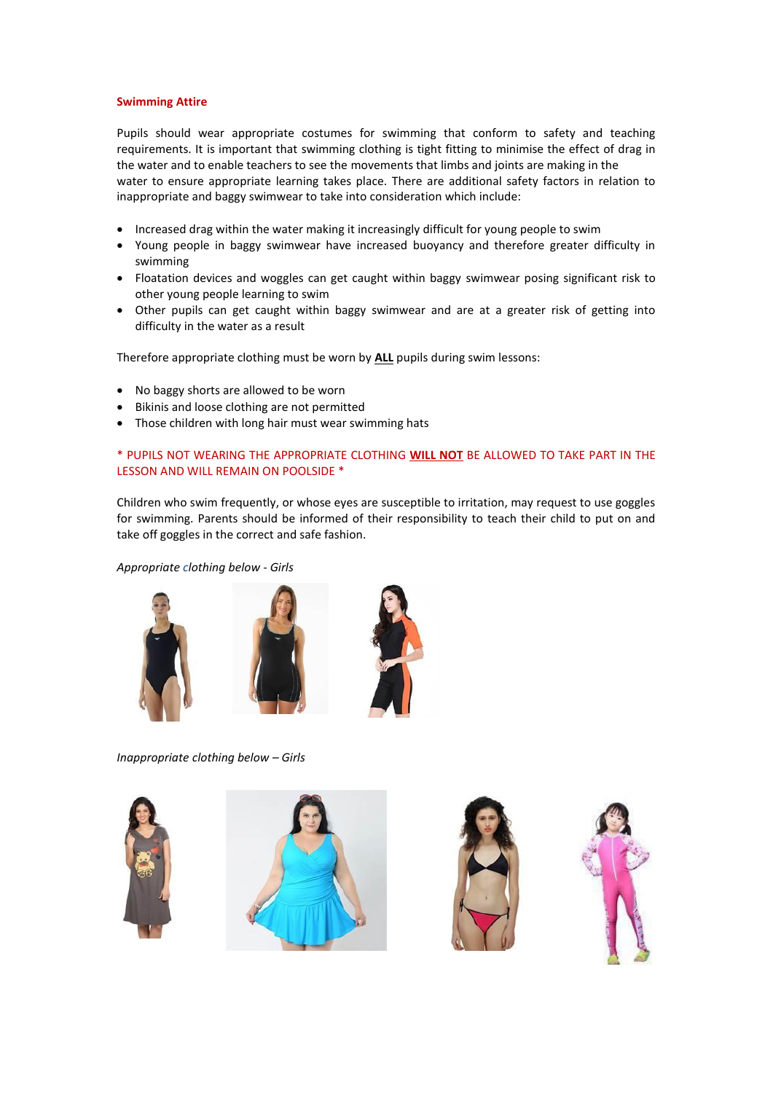## **Swimming Attire**

Pupils should wear appropriate costumes for swimming that conform to safety and teaching requirements. It is important that swimming clothing is tight fitting to minimise the effect of drag in the water and to enable teachers to see the movements that limbs and joints are making in the water to ensure appropriate learning takes place. There are additional safety factors in relation to inappropriate and baggy swimwear to take into consideration which include:

- Increased drag within the water making it increasingly difficult for young people to swim
- Young people in baggy swimwear have increased buoyancy and therefore greater difficulty in swimming
- Floatation devices and woggles can get caught within baggy swimwear posing significant risk to other young people learning to swim
- Other pupils can get caught within baggy swimwear and are at a greater risk of getting into difficulty in the water as a result

Therefore appropriate clothing must be worn by **ALL** pupils during swim lessons:

- No baggy shorts are allowed to be worn
- Bikinis and loose clothing are not permitted
- Those children with long hair must wear swimming hats

## \* PUPILS NOT WEARING THE APPROPRIATE CLOTHING **WILL NOT** BE ALLOWED TO TAKE PART IN THE LESSON AND WILL REMAIN ON POOLSIDE \*

Children who swim frequently, or whose eyes are susceptible to irritation, may request to use goggles for swimming. Parents should be informed of their responsibility to teach their child to put on and take off goggles in the correct and safe fashion.

*Appropriate clothing below - Girls*







*Inappropriate clothing below – Girls*